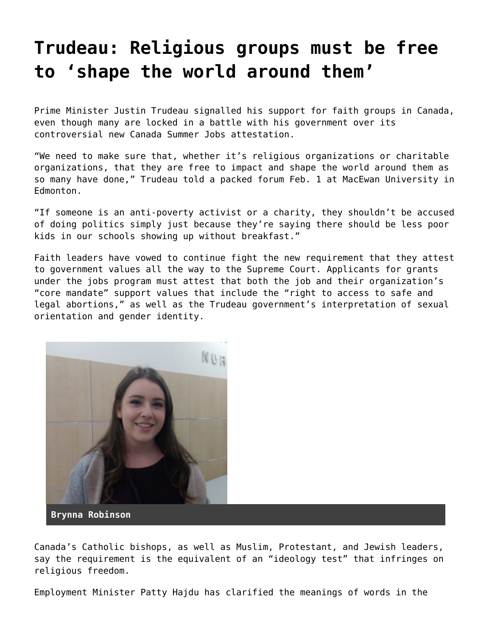## **[Trudeau: Religious groups must be free](https://grandinmedia.ca/trudeau-religious-groups-must-free-shape-world-around/) [to 'shape the world around them'](https://grandinmedia.ca/trudeau-religious-groups-must-free-shape-world-around/)**

Prime Minister Justin Trudeau signalled his support for faith groups in Canada, even though many are locked in a battle with his government over its controversial new Canada Summer Jobs attestation.

"We need to make sure that, whether it's religious organizations or charitable organizations, that they are free to impact and shape the world around them as so many have done," Trudeau told a packed forum Feb. 1 at MacEwan University in Edmonton.

"If someone is an anti-poverty activist or a charity, they shouldn't be accused of doing politics simply just because they're saying there should be less poor kids in our schools showing up without breakfast."

Faith leaders have vowed to continue fight the new requirement that they attest to government values all the way to the Supreme Court. Applicants for grants under the jobs program must attest that both the job and their organization's "core mandate" support values that include the "right to access to safe and legal abortions," as well as the Trudeau government's interpretation of sexual orientation and gender identity.



**Brynna Robinson**

Canada's Catholic bishops, as well as Muslim, Protestant, and Jewish leaders, say the requirement is the equivalent of an "ideology test" that infringes on religious freedom.

Employment Minister Patty Hajdu has clarified the meanings of words in the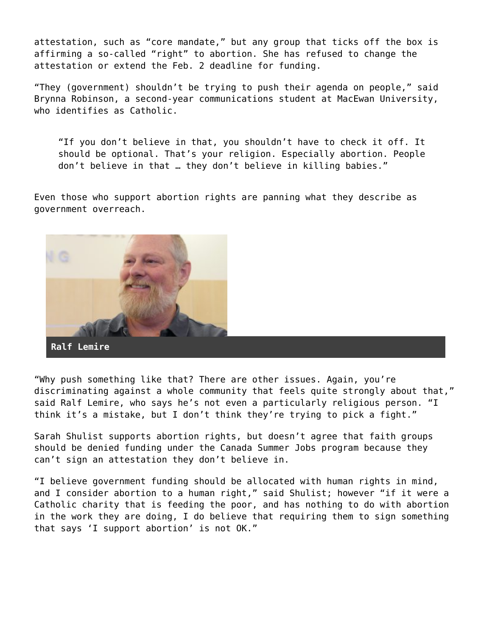attestation, such as "core mandate," but any group that ticks off the box is affirming a so-called "right" to abortion. She has refused to change the attestation or extend the Feb. 2 deadline for funding.

"They (government) shouldn't be trying to push their agenda on people," said Brynna Robinson, a second-year communications student at MacEwan University, who identifies as Catholic.

"If you don't believe in that, you shouldn't have to check it off. It should be optional. That's your religion. Especially abortion. People don't believe in that … they don't believe in killing babies."

Even those who support abortion rights are panning what they describe as government overreach.



"Why push something like that? There are other issues. Again, you're discriminating against a whole community that feels quite strongly about that," said Ralf Lemire, who says he's not even a particularly religious person. "I think it's a mistake, but I don't think they're trying to pick a fight."

Sarah Shulist supports abortion rights, but doesn't agree that faith groups should be denied funding under the Canada Summer Jobs program because they can't sign an attestation they don't believe in.

"I believe government funding should be allocated with human rights in mind, and I consider abortion to a human right," said Shulist; however "if it were a Catholic charity that is feeding the poor, and has nothing to do with abortion in the work they are doing, I do believe that requiring them to sign something that says 'I support abortion' is not OK."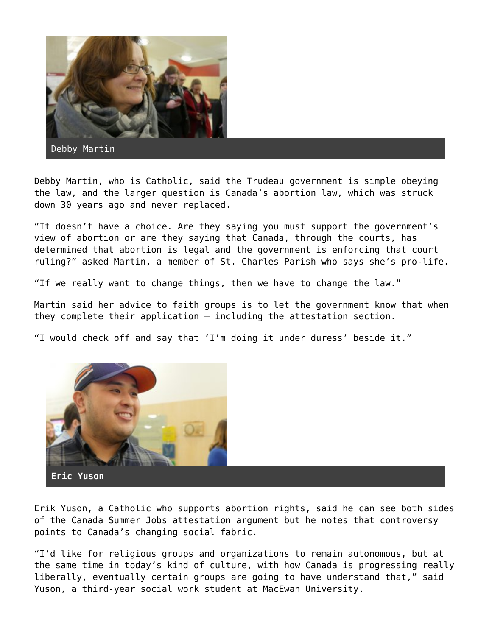

Debby Martin

Debby Martin, who is Catholic, said the Trudeau government is simple obeying the law, and the larger question is Canada's abortion law, which was struck down 30 years ago and never replaced.

"It doesn't have a choice. Are they saying you must support the government's view of abortion or are they saying that Canada, through the courts, has determined that abortion is legal and the government is enforcing that court ruling?" asked Martin, a member of St. Charles Parish who says she's pro-life.

"If we really want to change things, then we have to change the law."

Martin said her advice to faith groups is to let the government know that when they complete their application – including the attestation section.

"I would check off and say that 'I'm doing it under duress' beside it."



**Eric Yuson**

Erik Yuson, a Catholic who supports abortion rights, said he can see both sides of the Canada Summer Jobs attestation argument but he notes that controversy points to Canada's changing social fabric.

"I'd like for religious groups and organizations to remain autonomous, but at the same time in today's kind of culture, with how Canada is progressing really liberally, eventually certain groups are going to have understand that," said Yuson, a third-year social work student at MacEwan University.